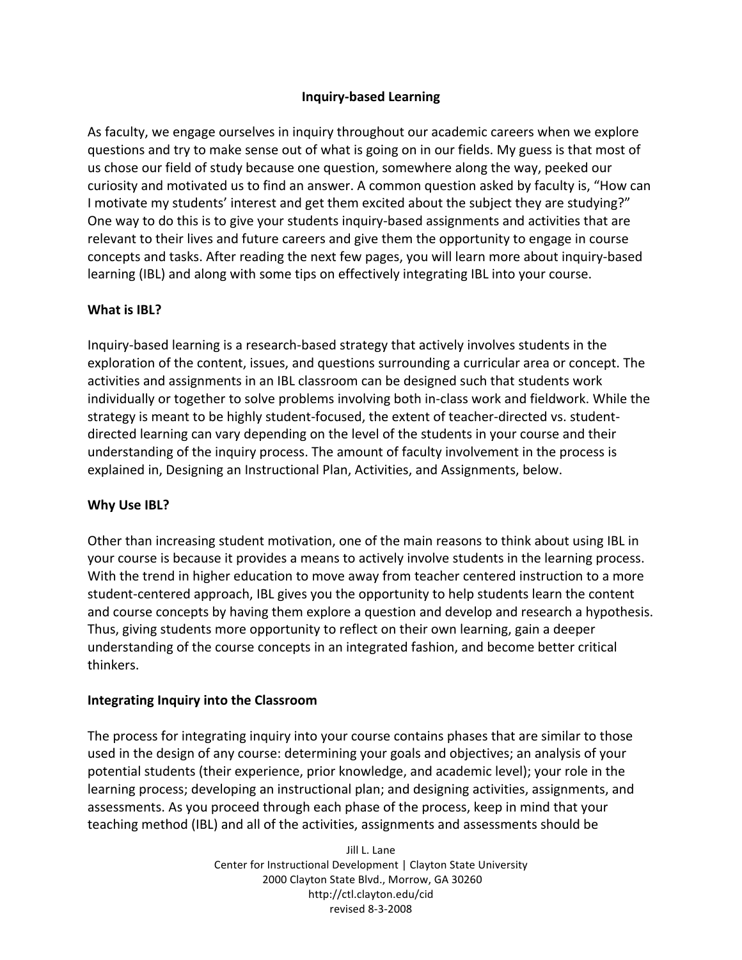#### **Inquiry‐based Learning**

As faculty, we engage ourselves in inquiry throughout our academic careers when we explore questions and try to make sense out of what is going on in our fields. My guess is that most of us
chose
our
field
of
study
because
one
question,
somewhere
along
the way,
peeked
our curiosity
and
motivated
us
to
find
an
answer.
A
common
question asked
by
faculty
is,
"How
can I motivate my students' interest and get them excited about the subject they are studying?" One way to do this is to give your students inquiry-based assignments and activities that are relevant to their lives and future careers and give them the opportunity to engage in course concepts
and
tasks.
After reading
the
next
few
pages,
you
will
learn
more
about
inquiry‐based learning (IBL) and along with some tips on effectively integrating IBL into your course.

#### **What is IBL?**

Inquiry-based learning is a research-based strategy that actively involves students in the exploration
of
the
content,
issues,
and
questions
surrounding
a
curricular
area
or concept.
The activities
and
assignments
in
an
IBL
classroom
can
be
designed
such
that students
work individually or together to solve problems involving both in-class work and fieldwork. While the strategy is meant to be highly student-focused, the extent of teacher-directed vs. studentdirected learning can vary depending on the level of the students in your course and their understanding of the inquiry process. The amount of faculty involvement in the process is explained
in,
Designing
an
Instructional
Plan, Activities,
and
Assignments,
below.

#### **Why Use IBL?**

Other than increasing student motivation, one of the main reasons to think about using IBL in your
course
is
because
it
provides
a
means
to
actively
involve
students
in
the learning
process. With the trend in higher education to move away from teacher centered instruction to a more student-centered approach, IBL gives you the opportunity to help students learn the content and
course
concepts
by
having
them
explore
a question
and
develop
and
research
a
hypothesis. Thus,
giving
students
more opportunity
to
reflect
on
their
own
learning,
gain
a
deeper understanding of the course concepts in an integrated fashion, and become better critical thinkers.

#### **Integrating Inquiry into the Classroom**

The
process
for
integrating
inquiry
into
your
course
contains
phases
that
are
similar
to those used in the design of any course: determining your goals and objectives; an analysis of your potential
students
(their
experience,
prior
knowledge,
and
academic level);
your
role
in
the learning process; developing an instructional plan; and designing activities, assignments, and assessments.
As
you
proceed
through
each
phase
of
the process,
keep
in
mind
that
your teaching method (IBL) and all of the activities, assignments and assessments should be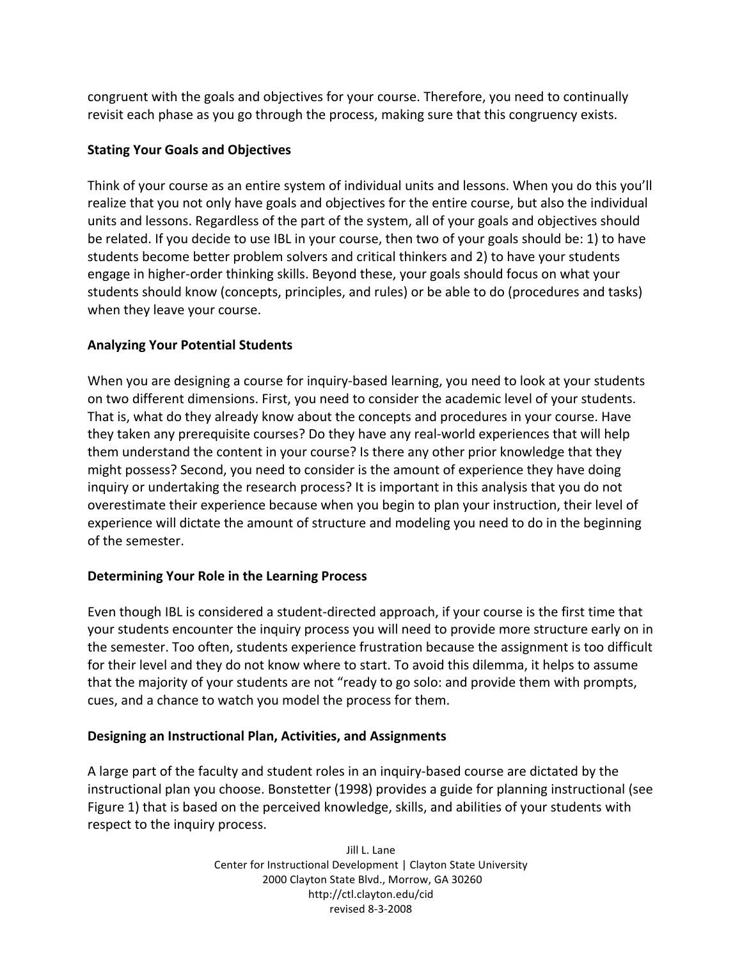congruent
with
the
goals
and
objectives
for
your
course.
Therefore,
you
need
to
continually revisit each phase as you go through the process, making sure that this congruency exists.

# **Stating Your Goals and Objectives**

Think of your course as an entire system of individual units and lessons. When you do this you'll realize that you not only have goals and objectives for the entire course, but also the individual units
and
lessons.
Regardless
of
the
part
of
the
system,
all
of
your goals
and
objectives
should be related. If you decide to use IBL in your course, then two of your goals should be: 1) to have students
become
better
problem
solvers
and
critical thinkers
and
2)
to
have
your
students engage in higher-order thinking skills. Beyond these, your goals should focus on what your students should know (concepts, principles, and rules) or be able to do (procedures and tasks) when
they
leave
your course.

# **Analyzing Your Potential Students**

When you are designing a course for inquiry-based learning, you need to look at your students on
two
different
dimensions.
First,
you
need
to
consider
the
academic
level
of your
students. That is, what do they already know about the concepts and procedures in your course. Have they taken any prerequisite courses? Do they have any real-world experiences that will help them
understand
the
content
in
your
course?
Is
there
any other
prior
knowledge
that
they might
possess?
Second,
you
need
to
consider
is
the amount
of
experience
they
have
doing inquiry or undertaking the research process? It is important in this analysis that you do not overestimate
their
experience
because
when you
begin
to
plan
your
instruction,
their
level
of experience
will
dictate
the
amount
of structure
and
modeling
you
need
to
do
in
the
beginning of
the
semester.

# **Determining Your Role in the Learning Process**

Even though IBL is considered a student-directed approach, if your course is the first time that your students encounter the inquiry process you will need to provide more structure early on in the
semester.
Too
often,
students
experience
frustration
because the
assignment
is
too
difficult for their level and they do not know where to start. To avoid this dilemma, it helps to assume that
the
majority
of
your
students
are
not
"ready to
go
solo:
and
provide
them
with
prompts, cues,
and
a
chance
to
watch
you
model
the process
for
them.

# **Designing an Instructional Plan, Activities, and Assignments**

A large part of the faculty and student roles in an inquiry-based course are dictated by the instructional
plan
you
choose.
Bonstetter
(1998)
provides
a
guide
for
planning instructional
(see Figure 1) that is based on the perceived knowledge, skills, and abilities of your students with respect
to
the
inquiry
process.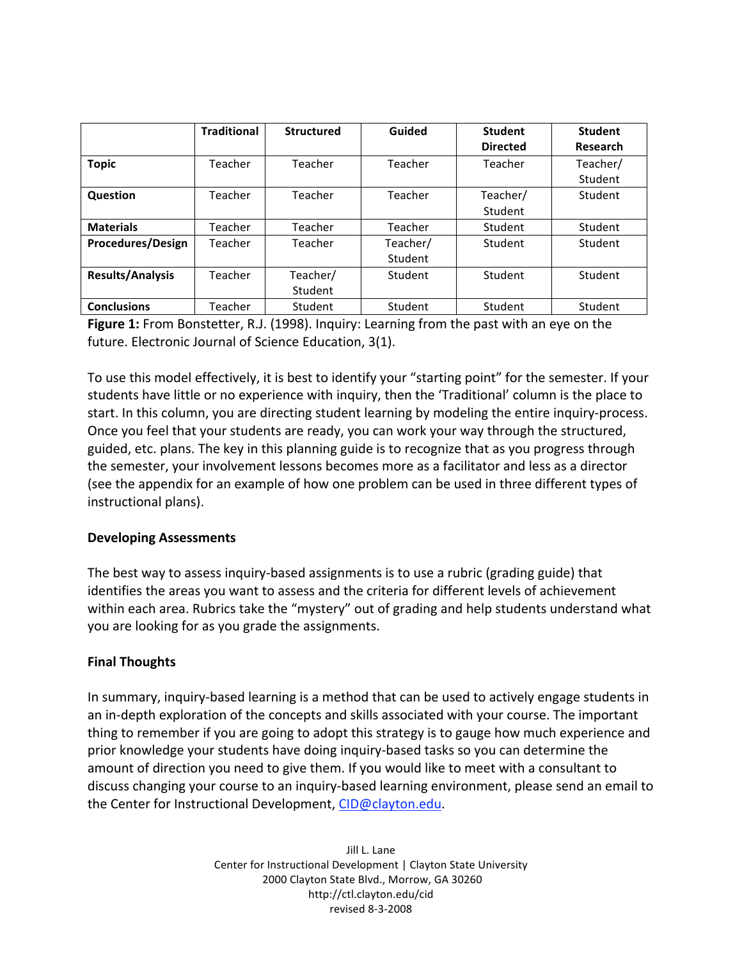|                          | <b>Traditional</b> | <b>Structured</b>   | Guided              | <b>Student</b><br><b>Directed</b> | <b>Student</b><br>Research |
|--------------------------|--------------------|---------------------|---------------------|-----------------------------------|----------------------------|
| <b>Topic</b>             | Teacher            | Teacher             | Teacher             | Teacher                           | Teacher/<br>Student        |
| <b>Question</b>          | Teacher            | Teacher             | Teacher             | Teacher/<br>Student               | Student                    |
| <b>Materials</b>         | Teacher            | Teacher             | Teacher             | Student                           | Student                    |
| <b>Procedures/Design</b> | Teacher            | Teacher             | Teacher/<br>Student | Student                           | Student                    |
| <b>Results/Analysis</b>  | Teacher            | Teacher/<br>Student | Student             | Student                           | Student                    |
| <b>Conclusions</b>       | Teacher            | Student             | Student             | Student                           | Student                    |

Figure 1: From Bonstetter, R.J. (1998). Inquiry: Learning from the past with an eye on the future. Electronic Journal of Science Education, 3(1).

To use this model effectively, it is best to identify your "starting point" for the semester. If your students have little or no experience with inquiry, then the 'Traditional' column is the place to start. In this column, you are directing student learning by modeling the entire inquiry-process. Once you feel that your students are ready, you can work your way through the structured, guided, etc. plans. The key in this planning guide is to recognize that as you progress through the semester, your involvement lessons becomes more as a facilitator and less as a director (see
the
appendix
for
an
example of
how
one
problem
can
be
used
in
three
different
types
of instructional
plans).

# **Developing Assessments**

The best way to assess inquiry-based assignments is to use a rubric (grading guide) that identifies
the
areas
you
want
to
assess
and
the
criteria
for
different
levels
of achievement within each area. Rubrics take the "mystery" out of grading and help students understand what you
are
looking
for
as
you
grade
the
assignments.

# **Final Thoughts**

In summary, inquiry-based learning is a method that can be used to actively engage students in an
in‐depth
exploration
of
the
concepts
and
skills
associated
with
your course.
The
important thing to remember if you are going to adopt this strategy is to gauge how much experience and prior
knowledge
your
students
have
doing
inquiry‐based
tasks
so
you
can
determine
the amount of direction you need to give them. If you would like to meet with a consultant to discuss changing your course to an inquiry-based learning environment, please send an email to the Center for Instructional Development, CID@clayton.edu.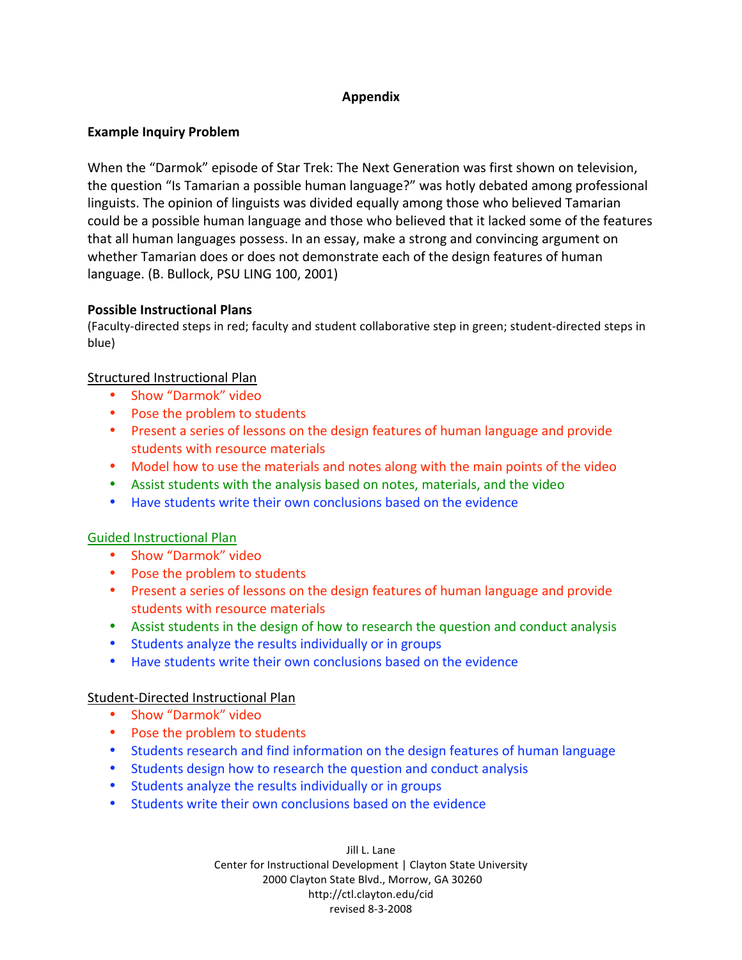# **Appendix**

#### **Example Inquiry Problem**

When the "Darmok" episode of Star Trek: The Next Generation was first shown on television, the question "Is Tamarian a possible human language?" was hotly debated among professional linguists. The opinion of linguists was divided equally among those who believed Tamarian could
be
a
possible
human
language
and
those
who
believed that
it
lacked
some
of
the
features that
all
human
languages
possess.
In
an
essay, make
a
strong
and
convincing
argument
on whether Tamarian does or does not demonstrate each of the design features of human language. (B. Bullock, PSU LING 100, 2001)

#### **Possible Instructional Plans**

(Faculty‐directed
steps
in
red;
faculty
and
student
collaborative
step
in
green;
student‐directed steps
in blue)

#### Structured
Instructional
Plan

- Show
"Darmok"
video
- Pose the problem to students
- Present a series of lessons on the design features of human language and provide students
with
resource
materials
- Model how to use the materials and notes along with the main points of the video
- Assist students with the analysis based on notes, materials, and the video
- Have students write their own conclusions based on the evidence

# Guided
Instructional
Plan

- Show
"Darmok"
video
- Pose the problem to students
- Present a series of lessons on the design features of human language and provide students
with
resource
materials
- Assist students in the design of how to research the question and conduct analysis
- Students analyze the results individually or in groups
- Have students write their own conclusions based on the evidence

# Student‐Directed
Instructional
Plan

- Show
"Darmok"
video
- Pose the problem to students
- Students research and find information on the design features of human language
- Students design how to research the question and conduct analysis
- Students analyze the results individually or in groups
- Students write their own conclusions based on the evidence